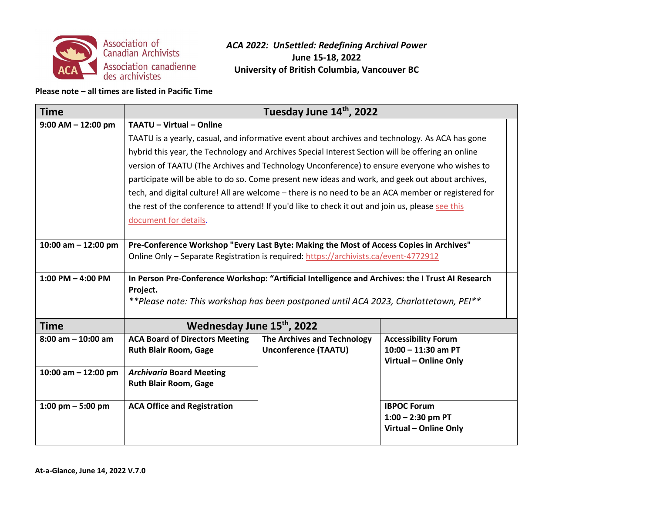

#### **Please note – all times are listed in Pacific Time**

| <b>Time</b>            |                                                                                                     | Tuesday June 14th, 2022            |                                                |
|------------------------|-----------------------------------------------------------------------------------------------------|------------------------------------|------------------------------------------------|
| $9:00$ AM $- 12:00$ pm | <b>TAATU - Virtual - Online</b>                                                                     |                                    |                                                |
|                        | TAATU is a yearly, casual, and informative event about archives and technology. As ACA has gone     |                                    |                                                |
|                        | hybrid this year, the Technology and Archives Special Interest Section will be offering an online   |                                    |                                                |
|                        | version of TAATU (The Archives and Technology Unconference) to ensure everyone who wishes to        |                                    |                                                |
|                        | participate will be able to do so. Come present new ideas and work, and geek out about archives,    |                                    |                                                |
|                        | tech, and digital culture! All are welcome - there is no need to be an ACA member or registered for |                                    |                                                |
|                        | the rest of the conference to attend! If you'd like to check it out and join us, please see this    |                                    |                                                |
|                        | document for details.                                                                               |                                    |                                                |
|                        |                                                                                                     |                                    |                                                |
| 10:00 am $-$ 12:00 pm  | Pre-Conference Workshop "Every Last Byte: Making the Most of Access Copies in Archives"             |                                    |                                                |
|                        | Online Only - Separate Registration is required: https://archivists.ca/event-4772912                |                                    |                                                |
| $1:00$ PM $-$ 4:00 PM  | In Person Pre-Conference Workshop: "Artificial Intelligence and Archives: the I Trust AI Research   |                                    |                                                |
|                        | Project.                                                                                            |                                    |                                                |
|                        | **Please note: This workshop has been postponed until ACA 2023, Charlottetown, PEI**                |                                    |                                                |
|                        |                                                                                                     |                                    |                                                |
| <b>Time</b>            | Wednesday June 15th, 2022                                                                           |                                    |                                                |
| $8:00$ am $-10:00$ am  | <b>ACA Board of Directors Meeting</b>                                                               | <b>The Archives and Technology</b> | <b>Accessibility Forum</b>                     |
|                        | <b>Ruth Blair Room, Gage</b>                                                                        | <b>Unconference (TAATU)</b>        | $10:00 - 11:30$ am PT<br>Virtual - Online Only |
| 10:00 am $-$ 12:00 pm  | <b>Archivaria Board Meeting</b>                                                                     |                                    |                                                |
|                        | <b>Ruth Blair Room, Gage</b>                                                                        |                                    |                                                |
|                        |                                                                                                     |                                    |                                                |
| 1:00 pm $-$ 5:00 pm    | <b>ACA Office and Registration</b>                                                                  |                                    | <b>IBPOC Forum</b>                             |
|                        |                                                                                                     |                                    | $1:00 - 2:30$ pm PT                            |
|                        |                                                                                                     |                                    | Virtual - Online Only                          |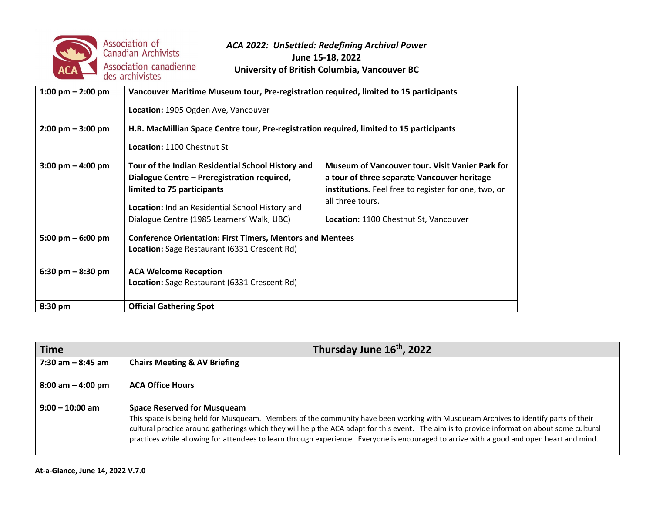

| 1:00 pm $-$ 2:00 pm                 | Vancouver Maritime Museum tour, Pre-registration required, limited to 15 participants<br>Location: 1905 Ogden Ave, Vancouver                                                                                                                                                                                                                                                                                                                                         |  |  |
|-------------------------------------|----------------------------------------------------------------------------------------------------------------------------------------------------------------------------------------------------------------------------------------------------------------------------------------------------------------------------------------------------------------------------------------------------------------------------------------------------------------------|--|--|
| $2:00 \text{ pm} - 3:00 \text{ pm}$ | H.R. MacMillian Space Centre tour, Pre-registration required, limited to 15 participants<br><b>Location: 1100 Chestnut St</b>                                                                                                                                                                                                                                                                                                                                        |  |  |
| $3:00 \text{ pm} - 4:00 \text{ pm}$ | <b>Museum of Vancouver tour. Visit Vanier Park for</b><br>Tour of the Indian Residential School History and<br>Dialogue Centre - Preregistration required,<br>a tour of three separate Vancouver heritage<br>limited to 75 participants<br>institutions. Feel free to register for one, two, or<br>all three tours.<br>Location: Indian Residential School History and<br>Dialogue Centre (1985 Learners' Walk, UBC)<br><b>Location: 1100 Chestnut St, Vancouver</b> |  |  |
| 5:00 pm $-$ 6:00 pm                 | <b>Conference Orientation: First Timers, Mentors and Mentees</b><br>Location: Sage Restaurant (6331 Crescent Rd)                                                                                                                                                                                                                                                                                                                                                     |  |  |
| 6:30 pm $-$ 8:30 pm                 | <b>ACA Welcome Reception</b><br>Location: Sage Restaurant (6331 Crescent Rd)                                                                                                                                                                                                                                                                                                                                                                                         |  |  |
| 8:30 pm                             | <b>Official Gathering Spot</b>                                                                                                                                                                                                                                                                                                                                                                                                                                       |  |  |

| <b>Time</b>          | Thursday June 16 <sup>th</sup> , 2022                                                                                                                                                                                                                                                                                                                                                                                                                                  |
|----------------------|------------------------------------------------------------------------------------------------------------------------------------------------------------------------------------------------------------------------------------------------------------------------------------------------------------------------------------------------------------------------------------------------------------------------------------------------------------------------|
| $7:30$ am $-8:45$ am | <b>Chairs Meeting &amp; AV Briefing</b>                                                                                                                                                                                                                                                                                                                                                                                                                                |
| 8:00 am – 4:00 pm    | <b>ACA Office Hours</b>                                                                                                                                                                                                                                                                                                                                                                                                                                                |
| $9:00 - 10:00$ am    | <b>Space Reserved for Musqueam</b><br>This space is being held for Musqueam. Members of the community have been working with Musqueam Archives to identify parts of their<br>cultural practice around gatherings which they will help the ACA adapt for this event. The aim is to provide information about some cultural<br>practices while allowing for attendees to learn through experience. Everyone is encouraged to arrive with a good and open heart and mind. |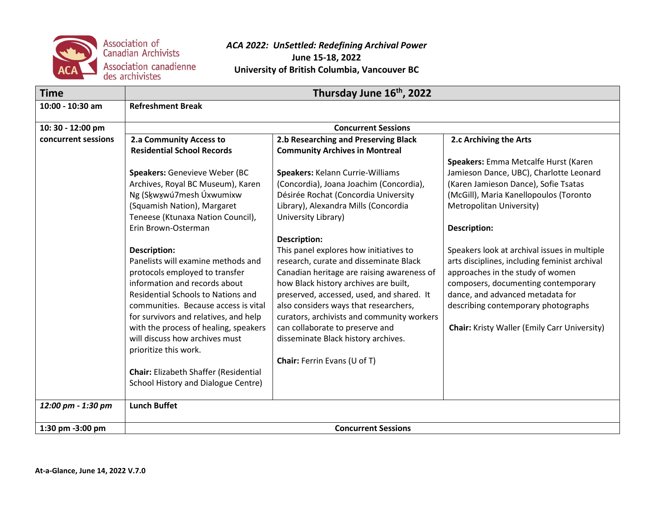

| <b>Time</b>         | Thursday June 16 <sup>th</sup> , 2022        |                                            |                                                     |  |
|---------------------|----------------------------------------------|--------------------------------------------|-----------------------------------------------------|--|
| 10:00 - 10:30 am    | <b>Refreshment Break</b>                     |                                            |                                                     |  |
| 10:30 - 12:00 pm    |                                              | <b>Concurrent Sessions</b>                 |                                                     |  |
| concurrent sessions | 2.a Community Access to                      | 2.b Researching and Preserving Black       | 2.c Archiving the Arts                              |  |
|                     | <b>Residential School Records</b>            | <b>Community Archives in Montreal</b>      |                                                     |  |
|                     |                                              |                                            | Speakers: Emma Metcalfe Hurst (Karen                |  |
|                     | Speakers: Genevieve Weber (BC                | Speakers: Kelann Currie-Williams           | Jamieson Dance, UBC), Charlotte Leonard             |  |
|                     | Archives, Royal BC Museum), Karen            | (Concordia), Joana Joachim (Concordia),    | (Karen Jamieson Dance), Sofie Tsatas                |  |
|                     | Ng (Skwxwú7mesh Úxwumixw                     | Désirée Rochat (Concordia University       | (McGill), Maria Kanellopoulos (Toronto              |  |
|                     | (Squamish Nation), Margaret                  | Library), Alexandra Mills (Concordia       | Metropolitan University)                            |  |
|                     | Teneese (Ktunaxa Nation Council),            | University Library)                        |                                                     |  |
|                     | Erin Brown-Osterman                          |                                            | <b>Description:</b>                                 |  |
|                     |                                              | <b>Description:</b>                        |                                                     |  |
|                     | <b>Description:</b>                          | This panel explores how initiatives to     | Speakers look at archival issues in multiple        |  |
|                     | Panelists will examine methods and           | research, curate and disseminate Black     | arts disciplines, including feminist archival       |  |
|                     | protocols employed to transfer               | Canadian heritage are raising awareness of | approaches in the study of women                    |  |
|                     | information and records about                | how Black history archives are built,      | composers, documenting contemporary                 |  |
|                     | <b>Residential Schools to Nations and</b>    | preserved, accessed, used, and shared. It  | dance, and advanced metadata for                    |  |
|                     | communities. Because access is vital         | also considers ways that researchers,      | describing contemporary photographs                 |  |
|                     | for survivors and relatives, and help        | curators, archivists and community workers |                                                     |  |
|                     | with the process of healing, speakers        | can collaborate to preserve and            | <b>Chair:</b> Kristy Waller (Emily Carr University) |  |
|                     | will discuss how archives must               | disseminate Black history archives.        |                                                     |  |
|                     | prioritize this work.                        |                                            |                                                     |  |
|                     |                                              | <b>Chair:</b> Ferrin Evans (U of T)        |                                                     |  |
|                     | <b>Chair:</b> Elizabeth Shaffer (Residential |                                            |                                                     |  |
|                     | School History and Dialogue Centre)          |                                            |                                                     |  |
| 12:00 pm - 1:30 pm  | <b>Lunch Buffet</b>                          |                                            |                                                     |  |
| 1:30 pm -3:00 pm    |                                              | <b>Concurrent Sessions</b>                 |                                                     |  |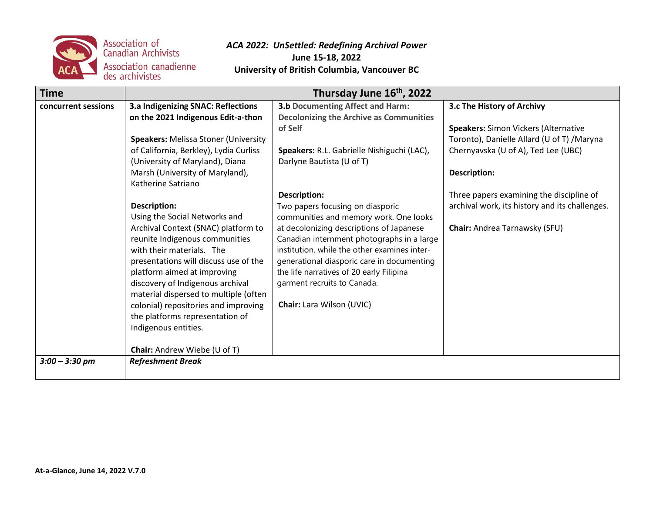

| <b>Time</b>         | Thursday June 16 <sup>th</sup> , 2022                                                                                                                                                                                                                                                                                                                                                                              |                                                                                                                                                                                                                                                                                                                                                                                                   |                                                                                                                                    |
|---------------------|--------------------------------------------------------------------------------------------------------------------------------------------------------------------------------------------------------------------------------------------------------------------------------------------------------------------------------------------------------------------------------------------------------------------|---------------------------------------------------------------------------------------------------------------------------------------------------------------------------------------------------------------------------------------------------------------------------------------------------------------------------------------------------------------------------------------------------|------------------------------------------------------------------------------------------------------------------------------------|
| concurrent sessions | 3.a Indigenizing SNAC: Reflections<br>on the 2021 Indigenous Edit-a-thon                                                                                                                                                                                                                                                                                                                                           | <b>3.b Documenting Affect and Harm:</b><br><b>Decolonizing the Archive as Communities</b>                                                                                                                                                                                                                                                                                                         | 3.c The History of Archivy                                                                                                         |
|                     | <b>Speakers: Melissa Stoner (University</b><br>of California, Berkley), Lydia Curliss<br>(University of Maryland), Diana                                                                                                                                                                                                                                                                                           | of Self<br>Speakers: R.L. Gabrielle Nishiguchi (LAC),<br>Darlyne Bautista (U of T)                                                                                                                                                                                                                                                                                                                | <b>Speakers: Simon Vickers (Alternative</b><br>Toronto), Danielle Allard (U of T) / Maryna<br>Chernyavska (U of A), Ted Lee (UBC)  |
|                     | Marsh (University of Maryland),<br>Katherine Satriano                                                                                                                                                                                                                                                                                                                                                              |                                                                                                                                                                                                                                                                                                                                                                                                   | Description:                                                                                                                       |
|                     | <b>Description:</b><br>Using the Social Networks and<br>Archival Context (SNAC) platform to<br>reunite Indigenous communities<br>with their materials. The<br>presentations will discuss use of the<br>platform aimed at improving<br>discovery of Indigenous archival<br>material dispersed to multiple (often<br>colonial) repositories and improving<br>the platforms representation of<br>Indigenous entities. | <b>Description:</b><br>Two papers focusing on diasporic<br>communities and memory work. One looks<br>at decolonizing descriptions of Japanese<br>Canadian internment photographs in a large<br>institution, while the other examines inter-<br>generational diasporic care in documenting<br>the life narratives of 20 early Filipina<br>garment recruits to Canada.<br>Chair: Lara Wilson (UVIC) | Three papers examining the discipline of<br>archival work, its history and its challenges.<br><b>Chair:</b> Andrea Tarnawsky (SFU) |
|                     | Chair: Andrew Wiebe (U of T)                                                                                                                                                                                                                                                                                                                                                                                       |                                                                                                                                                                                                                                                                                                                                                                                                   |                                                                                                                                    |
| $3:00 - 3:30$ pm    | <b>Refreshment Break</b>                                                                                                                                                                                                                                                                                                                                                                                           |                                                                                                                                                                                                                                                                                                                                                                                                   |                                                                                                                                    |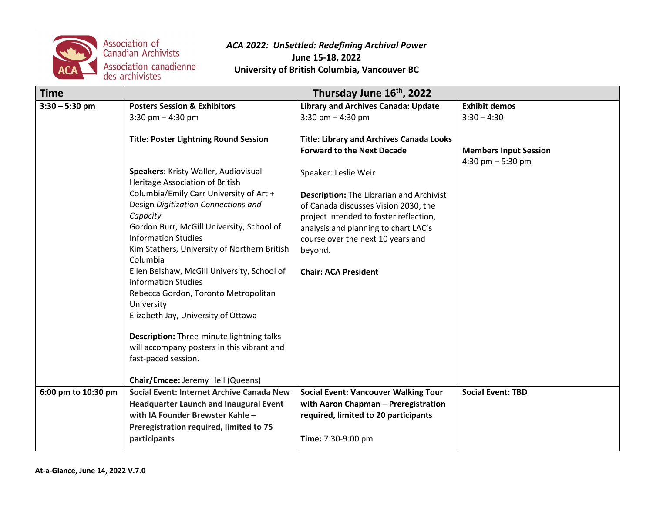

| <b>Time</b>         | Thursday June 16 <sup>th</sup> , 2022                                   |                                                                                         |                              |
|---------------------|-------------------------------------------------------------------------|-----------------------------------------------------------------------------------------|------------------------------|
| $3:30 - 5:30$ pm    | <b>Posters Session &amp; Exhibitors</b>                                 | <b>Library and Archives Canada: Update</b>                                              | <b>Exhibit demos</b>         |
|                     | 3:30 pm $-$ 4:30 pm                                                     | 3:30 pm $-$ 4:30 pm                                                                     | $3:30 - 4:30$                |
|                     |                                                                         |                                                                                         |                              |
|                     | <b>Title: Poster Lightning Round Session</b>                            | <b>Title: Library and Archives Canada Looks</b>                                         |                              |
|                     |                                                                         | <b>Forward to the Next Decade</b>                                                       | <b>Members Input Session</b> |
|                     |                                                                         |                                                                                         | 4:30 pm $-5:30$ pm           |
|                     | Speakers: Kristy Waller, Audiovisual<br>Heritage Association of British | Speaker: Leslie Weir                                                                    |                              |
|                     | Columbia/Emily Carr University of Art +                                 |                                                                                         |                              |
|                     | Design Digitization Connections and                                     | <b>Description:</b> The Librarian and Archivist<br>of Canada discusses Vision 2030, the |                              |
|                     | Capacity                                                                | project intended to foster reflection,                                                  |                              |
|                     | Gordon Burr, McGill University, School of                               | analysis and planning to chart LAC's                                                    |                              |
|                     | <b>Information Studies</b>                                              | course over the next 10 years and                                                       |                              |
|                     | Kim Stathers, University of Northern British                            | beyond.                                                                                 |                              |
|                     | Columbia                                                                |                                                                                         |                              |
|                     | Ellen Belshaw, McGill University, School of                             | <b>Chair: ACA President</b>                                                             |                              |
|                     | <b>Information Studies</b>                                              |                                                                                         |                              |
|                     | Rebecca Gordon, Toronto Metropolitan                                    |                                                                                         |                              |
|                     | University                                                              |                                                                                         |                              |
|                     | Elizabeth Jay, University of Ottawa                                     |                                                                                         |                              |
|                     | Description: Three-minute lightning talks                               |                                                                                         |                              |
|                     | will accompany posters in this vibrant and                              |                                                                                         |                              |
|                     | fast-paced session.                                                     |                                                                                         |                              |
|                     |                                                                         |                                                                                         |                              |
|                     | Chair/Emcee: Jeremy Heil (Queens)                                       |                                                                                         |                              |
| 6:00 pm to 10:30 pm | Social Event: Internet Archive Canada New                               | <b>Social Event: Vancouver Walking Tour</b>                                             | <b>Social Event: TBD</b>     |
|                     | <b>Headquarter Launch and Inaugural Event</b>                           | with Aaron Chapman - Preregistration                                                    |                              |
|                     | with IA Founder Brewster Kahle -                                        | required, limited to 20 participants                                                    |                              |
|                     | Preregistration required, limited to 75                                 |                                                                                         |                              |
|                     | participants                                                            | Time: 7:30-9:00 pm                                                                      |                              |
|                     |                                                                         |                                                                                         |                              |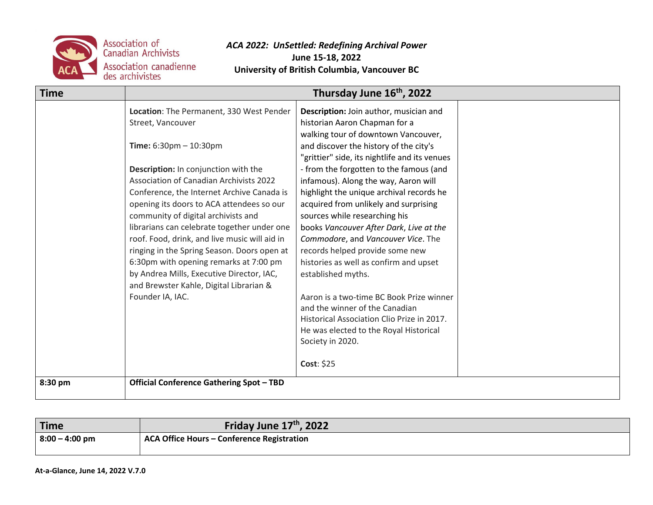

| <b>Time</b> | Thursday June 16th, 2022                                                                                                                                                                                                                                                                                                                                                                                                                                                                                                      |                                                                                                                                                                                                                                                                                                                                                                                                                                                                                                                                                                                                   |  |
|-------------|-------------------------------------------------------------------------------------------------------------------------------------------------------------------------------------------------------------------------------------------------------------------------------------------------------------------------------------------------------------------------------------------------------------------------------------------------------------------------------------------------------------------------------|---------------------------------------------------------------------------------------------------------------------------------------------------------------------------------------------------------------------------------------------------------------------------------------------------------------------------------------------------------------------------------------------------------------------------------------------------------------------------------------------------------------------------------------------------------------------------------------------------|--|
|             | Location: The Permanent, 330 West Pender<br>Street, Vancouver                                                                                                                                                                                                                                                                                                                                                                                                                                                                 | Description: Join author, musician and<br>historian Aaron Chapman for a<br>walking tour of downtown Vancouver,                                                                                                                                                                                                                                                                                                                                                                                                                                                                                    |  |
|             | Time: $6:30 \text{pm} - 10:30 \text{pm}$                                                                                                                                                                                                                                                                                                                                                                                                                                                                                      | and discover the history of the city's<br>"grittier" side, its nightlife and its venues                                                                                                                                                                                                                                                                                                                                                                                                                                                                                                           |  |
|             | Description: In conjunction with the<br><b>Association of Canadian Archivists 2022</b><br>Conference, the Internet Archive Canada is<br>opening its doors to ACA attendees so our<br>community of digital archivists and<br>librarians can celebrate together under one<br>roof. Food, drink, and live music will aid in<br>ringing in the Spring Season. Doors open at<br>6:30pm with opening remarks at 7:00 pm<br>by Andrea Mills, Executive Director, IAC,<br>and Brewster Kahle, Digital Librarian &<br>Founder IA, IAC. | - from the forgotten to the famous (and<br>infamous). Along the way, Aaron will<br>highlight the unique archival records he<br>acquired from unlikely and surprising<br>sources while researching his<br>books Vancouver After Dark, Live at the<br>Commodore, and Vancouver Vice. The<br>records helped provide some new<br>histories as well as confirm and upset<br>established myths.<br>Aaron is a two-time BC Book Prize winner<br>and the winner of the Canadian<br>Historical Association Clio Prize in 2017.<br>He was elected to the Royal Historical<br>Society in 2020.<br>Cost: \$25 |  |
| 8:30 pm     | <b>Official Conference Gathering Spot - TBD</b>                                                                                                                                                                                                                                                                                                                                                                                                                                                                               |                                                                                                                                                                                                                                                                                                                                                                                                                                                                                                                                                                                                   |  |

| 'Time             | Friday June 17 <sup>th</sup> , 2022        |
|-------------------|--------------------------------------------|
| $ 8:00 - 4:00$ pm | ACA Office Hours – Conference Registration |
|                   |                                            |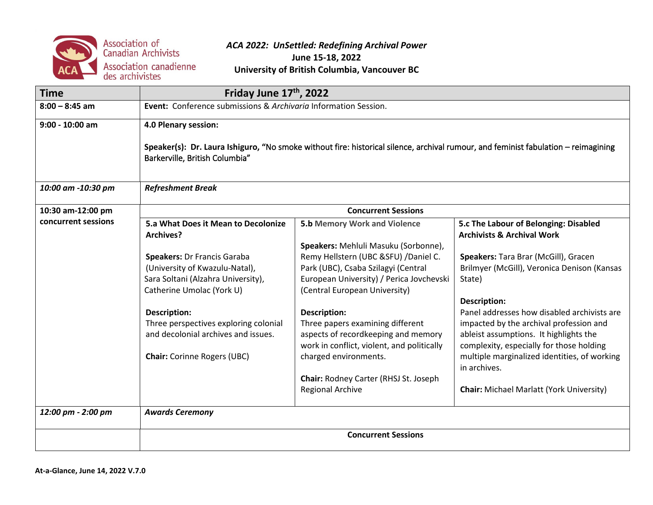

| <b>Time</b>         |                                                                                                                                                                      | Friday June 17 <sup>th</sup> , 2022                                       |                                                                                |  |
|---------------------|----------------------------------------------------------------------------------------------------------------------------------------------------------------------|---------------------------------------------------------------------------|--------------------------------------------------------------------------------|--|
| $8:00 - 8:45$ am    | Event: Conference submissions & Archivaria Information Session.                                                                                                      |                                                                           |                                                                                |  |
| $9:00 - 10:00$ am   | 4.0 Plenary session:                                                                                                                                                 |                                                                           |                                                                                |  |
|                     | Speaker(s): Dr. Laura Ishiguro, "No smoke without fire: historical silence, archival rumour, and feminist fabulation – reimagining<br>Barkerville, British Columbia" |                                                                           |                                                                                |  |
| 10:00 am -10:30 pm  | <b>Refreshment Break</b>                                                                                                                                             |                                                                           |                                                                                |  |
| 10:30 am-12:00 pm   |                                                                                                                                                                      | <b>Concurrent Sessions</b>                                                |                                                                                |  |
| concurrent sessions | 5.a What Does it Mean to Decolonize<br>Archives?                                                                                                                     | <b>5.b Memory Work and Violence</b>                                       | 5.c The Labour of Belonging: Disabled<br><b>Archivists &amp; Archival Work</b> |  |
|                     |                                                                                                                                                                      | Speakers: Mehluli Masuku (Sorbonne),                                      |                                                                                |  |
|                     | <b>Speakers: Dr Francis Garaba</b>                                                                                                                                   | Remy Hellstern (UBC &SFU) / Daniel C.                                     | Speakers: Tara Brar (McGill), Gracen                                           |  |
|                     | (University of Kwazulu-Natal),                                                                                                                                       | Park (UBC), Csaba Szilagyi (Central                                       | Brilmyer (McGill), Veronica Denison (Kansas                                    |  |
|                     | Sara Soltani (Alzahra University),<br>Catherine Umolac (York U)                                                                                                      | European University) / Perica Jovchevski<br>(Central European University) | State)                                                                         |  |
|                     |                                                                                                                                                                      |                                                                           | <b>Description:</b>                                                            |  |
|                     | <b>Description:</b>                                                                                                                                                  | <b>Description:</b>                                                       | Panel addresses how disabled archivists are                                    |  |
|                     | Three perspectives exploring colonial                                                                                                                                | Three papers examining different                                          | impacted by the archival profession and                                        |  |
|                     | and decolonial archives and issues.                                                                                                                                  | aspects of recordkeeping and memory                                       | ableist assumptions. It highlights the                                         |  |
|                     |                                                                                                                                                                      | work in conflict, violent, and politically                                | complexity, especially for those holding                                       |  |
|                     | <b>Chair:</b> Corinne Rogers (UBC)                                                                                                                                   | charged environments.                                                     | multiple marginalized identities, of working<br>in archives.                   |  |
|                     |                                                                                                                                                                      | Chair: Rodney Carter (RHSJ St. Joseph                                     |                                                                                |  |
|                     |                                                                                                                                                                      | <b>Regional Archive</b>                                                   | <b>Chair:</b> Michael Marlatt (York University)                                |  |
| 12:00 pm - 2:00 pm  | <b>Awards Ceremony</b>                                                                                                                                               |                                                                           |                                                                                |  |
|                     | <b>Concurrent Sessions</b>                                                                                                                                           |                                                                           |                                                                                |  |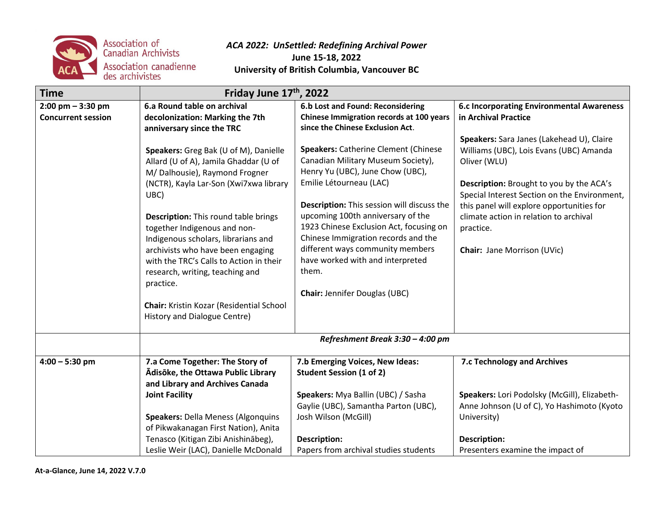

| <b>Time</b>                                       | Friday June 17th, 2022                                                                                                                                                                                                                                                                                                                                                                                                                                                                                                                                                                                     |                                                                                                                                                                                                                                                                                                                                                                                                                                                                                                                                                                     |                                                                                                                                                                                                                                                                                                                                                                                                                        |
|---------------------------------------------------|------------------------------------------------------------------------------------------------------------------------------------------------------------------------------------------------------------------------------------------------------------------------------------------------------------------------------------------------------------------------------------------------------------------------------------------------------------------------------------------------------------------------------------------------------------------------------------------------------------|---------------------------------------------------------------------------------------------------------------------------------------------------------------------------------------------------------------------------------------------------------------------------------------------------------------------------------------------------------------------------------------------------------------------------------------------------------------------------------------------------------------------------------------------------------------------|------------------------------------------------------------------------------------------------------------------------------------------------------------------------------------------------------------------------------------------------------------------------------------------------------------------------------------------------------------------------------------------------------------------------|
| $2:00$ pm $-3:30$ pm<br><b>Concurrent session</b> | 6.a Round table on archival<br>decolonization: Marking the 7th<br>anniversary since the TRC<br>Speakers: Greg Bak (U of M), Danielle<br>Allard (U of A), Jamila Ghaddar (U of<br>M/ Dalhousie), Raymond Frogner<br>(NCTR), Kayla Lar-Son (Xwi7xwa library<br>UBC)<br><b>Description:</b> This round table brings<br>together Indigenous and non-<br>Indigenous scholars, librarians and<br>archivists who have been engaging<br>with the TRC's Calls to Action in their<br>research, writing, teaching and<br>practice.<br><b>Chair:</b> Kristin Kozar (Residential School<br>History and Dialogue Centre) | 6.b Lost and Found: Reconsidering<br>Chinese Immigration records at 100 years<br>since the Chinese Exclusion Act.<br><b>Speakers: Catherine Clement (Chinese</b><br>Canadian Military Museum Society),<br>Henry Yu (UBC), June Chow (UBC),<br>Emilie Létourneau (LAC)<br>Description: This session will discuss the<br>upcoming 100th anniversary of the<br>1923 Chinese Exclusion Act, focusing on<br>Chinese Immigration records and the<br>different ways community members<br>have worked with and interpreted<br>them.<br><b>Chair: Jennifer Douglas (UBC)</b> | <b>6.c Incorporating Environmental Awareness</b><br>in Archival Practice<br>Speakers: Sara Janes (Lakehead U), Claire<br>Williams (UBC), Lois Evans (UBC) Amanda<br>Oliver (WLU)<br>Description: Brought to you by the ACA's<br>Special Interest Section on the Environment,<br>this panel will explore opportunities for<br>climate action in relation to archival<br>practice.<br><b>Chair: Jane Morrison (UVic)</b> |
|                                                   |                                                                                                                                                                                                                                                                                                                                                                                                                                                                                                                                                                                                            | Refreshment Break 3:30 - 4:00 pm                                                                                                                                                                                                                                                                                                                                                                                                                                                                                                                                    |                                                                                                                                                                                                                                                                                                                                                                                                                        |
| $4:00 - 5:30$ pm                                  | 7.a Come Together: The Story of<br>Ādisōke, the Ottawa Public Library<br>and Library and Archives Canada<br><b>Joint Facility</b><br><b>Speakers: Della Meness (Algonquins</b>                                                                                                                                                                                                                                                                                                                                                                                                                             | 7.b Emerging Voices, New Ideas:<br><b>Student Session (1 of 2)</b><br>Speakers: Mya Ballin (UBC) / Sasha<br>Gaylie (UBC), Samantha Parton (UBC),<br>Josh Wilson (McGill)                                                                                                                                                                                                                                                                                                                                                                                            | 7.c Technology and Archives<br>Speakers: Lori Podolsky (McGill), Elizabeth-<br>Anne Johnson (U of C), Yo Hashimoto (Kyoto<br>University)                                                                                                                                                                                                                                                                               |
|                                                   | of Pikwakanagan First Nation), Anita<br>Tenasco (Kitigan Zibi Anishinābeg),<br>Leslie Weir (LAC), Danielle McDonald                                                                                                                                                                                                                                                                                                                                                                                                                                                                                        | <b>Description:</b><br>Papers from archival studies students                                                                                                                                                                                                                                                                                                                                                                                                                                                                                                        | <b>Description:</b><br>Presenters examine the impact of                                                                                                                                                                                                                                                                                                                                                                |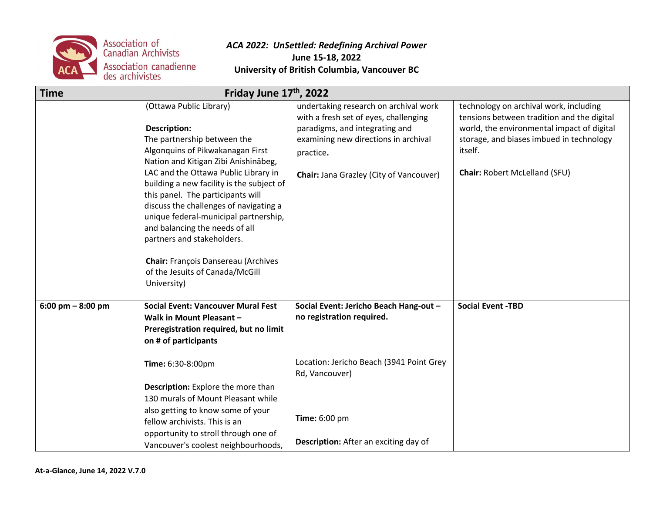

| <b>Time</b>                         | Friday June 17 <sup>th</sup> , 2022                                                                                                                                                                                                                                                                                                                                                                                                                                                                                                    |                                                                                                                                                                                                                  |                                                                                                                                                                                                                            |
|-------------------------------------|----------------------------------------------------------------------------------------------------------------------------------------------------------------------------------------------------------------------------------------------------------------------------------------------------------------------------------------------------------------------------------------------------------------------------------------------------------------------------------------------------------------------------------------|------------------------------------------------------------------------------------------------------------------------------------------------------------------------------------------------------------------|----------------------------------------------------------------------------------------------------------------------------------------------------------------------------------------------------------------------------|
|                                     | (Ottawa Public Library)<br><b>Description:</b><br>The partnership between the<br>Algonquins of Pikwakanagan First<br>Nation and Kitigan Zibi Anishinabeg,<br>LAC and the Ottawa Public Library in<br>building a new facility is the subject of<br>this panel. The participants will<br>discuss the challenges of navigating a<br>unique federal-municipal partnership,<br>and balancing the needs of all<br>partners and stakeholders.<br><b>Chair: François Dansereau (Archives</b><br>of the Jesuits of Canada/McGill<br>University) | undertaking research on archival work<br>with a fresh set of eyes, challenging<br>paradigms, and integrating and<br>examining new directions in archival<br>practice.<br>Chair: Jana Grazley (City of Vancouver) | technology on archival work, including<br>tensions between tradition and the digital<br>world, the environmental impact of digital<br>storage, and biases imbued in technology<br>itself.<br>Chair: Robert McLelland (SFU) |
| $6:00 \text{ pm} - 8:00 \text{ pm}$ | <b>Social Event: Vancouver Mural Fest</b><br>Walk in Mount Pleasant -<br>Preregistration required, but no limit<br>on # of participants<br>Time: 6:30-8:00pm<br>Description: Explore the more than<br>130 murals of Mount Pleasant while<br>also getting to know some of your<br>fellow archivists. This is an<br>opportunity to stroll through one of                                                                                                                                                                                 | Social Event: Jericho Beach Hang-out -<br>no registration required.<br>Location: Jericho Beach (3941 Point Grey<br>Rd, Vancouver)<br><b>Time:</b> 6:00 pm                                                        | <b>Social Event -TBD</b>                                                                                                                                                                                                   |
|                                     | Vancouver's coolest neighbourhoods,                                                                                                                                                                                                                                                                                                                                                                                                                                                                                                    | Description: After an exciting day of                                                                                                                                                                            |                                                                                                                                                                                                                            |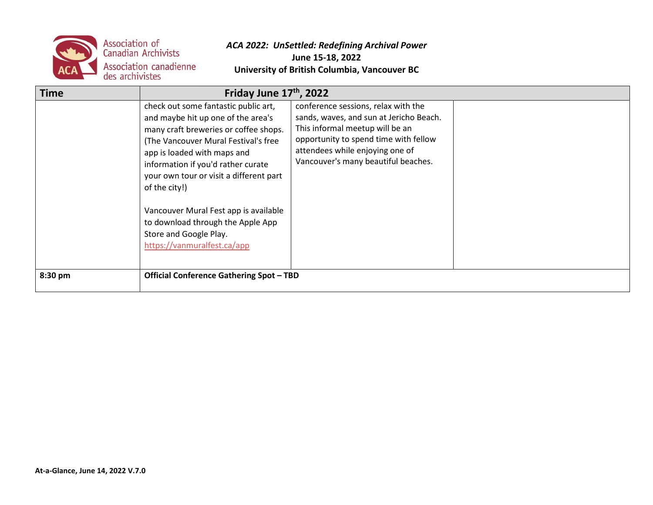

| <b>Time</b> | Friday June $17th$ , 2022                                                                                                                                                                                                                                                                                                                                                                                                           |                                                                                                                                                                                                                                      |  |
|-------------|-------------------------------------------------------------------------------------------------------------------------------------------------------------------------------------------------------------------------------------------------------------------------------------------------------------------------------------------------------------------------------------------------------------------------------------|--------------------------------------------------------------------------------------------------------------------------------------------------------------------------------------------------------------------------------------|--|
|             | check out some fantastic public art,<br>and maybe hit up one of the area's<br>many craft breweries or coffee shops.<br>(The Vancouver Mural Festival's free<br>app is loaded with maps and<br>information if you'd rather curate<br>your own tour or visit a different part<br>of the city!)<br>Vancouver Mural Fest app is available<br>to download through the Apple App<br>Store and Google Play.<br>https://vanmuralfest.ca/app | conference sessions, relax with the<br>sands, waves, and sun at Jericho Beach.<br>This informal meetup will be an<br>opportunity to spend time with fellow<br>attendees while enjoying one of<br>Vancouver's many beautiful beaches. |  |
| 8:30 pm     | <b>Official Conference Gathering Spot - TBD</b>                                                                                                                                                                                                                                                                                                                                                                                     |                                                                                                                                                                                                                                      |  |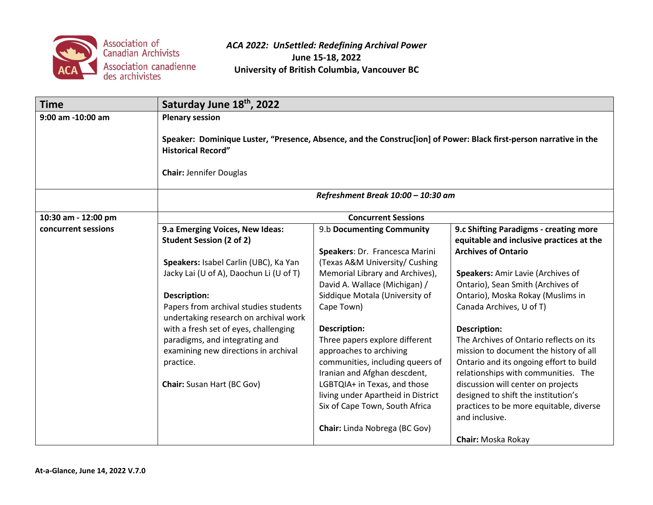

| <b>Time</b>         | Saturday June 18th, 2022                                                                                                                                                          |                                                                                                                                                                               |                                                                                                                                                                                                                                  |  |  |
|---------------------|-----------------------------------------------------------------------------------------------------------------------------------------------------------------------------------|-------------------------------------------------------------------------------------------------------------------------------------------------------------------------------|----------------------------------------------------------------------------------------------------------------------------------------------------------------------------------------------------------------------------------|--|--|
| 9:00 am -10:00 am   | <b>Plenary session</b>                                                                                                                                                            |                                                                                                                                                                               |                                                                                                                                                                                                                                  |  |  |
|                     | Speaker: Dominique Luster, "Presence, Absence, and the Construc[ion] of Power: Black first-person narrative in the<br><b>Historical Record"</b><br><b>Chair: Jennifer Douglas</b> |                                                                                                                                                                               |                                                                                                                                                                                                                                  |  |  |
|                     |                                                                                                                                                                                   |                                                                                                                                                                               |                                                                                                                                                                                                                                  |  |  |
|                     | Refreshment Break 10:00 - 10:30 am                                                                                                                                                |                                                                                                                                                                               |                                                                                                                                                                                                                                  |  |  |
| 10:30 am - 12:00 pm | <b>Concurrent Sessions</b>                                                                                                                                                        |                                                                                                                                                                               |                                                                                                                                                                                                                                  |  |  |
| concurrent sessions | 9.a Emerging Voices, New Ideas:<br><b>Student Session (2 of 2)</b>                                                                                                                | 9.b Documenting Community<br>Speakers: Dr. Francesca Marini                                                                                                                   | 9.c Shifting Paradigms - creating more<br>equitable and inclusive practices at the<br><b>Archives of Ontario</b>                                                                                                                 |  |  |
|                     | Speakers: Isabel Carlin (UBC), Ka Yan<br>Jacky Lai (U of A), Daochun Li (U of T)                                                                                                  | (Texas A&M University/ Cushing<br>Memorial Library and Archives),<br>David A. Wallace (Michigan) /                                                                            | Speakers: Amir Lavie (Archives of<br>Ontario), Sean Smith (Archives of                                                                                                                                                           |  |  |
|                     | Description:<br>Papers from archival studies students<br>undertaking research on archival work                                                                                    | Siddique Motala (University of<br>Cape Town)                                                                                                                                  | Ontario), Moska Rokay (Muslims in<br>Canada Archives, U of T)                                                                                                                                                                    |  |  |
|                     | with a fresh set of eyes, challenging<br>paradigms, and integrating and<br>examining new directions in archival<br>practice.<br>Chair: Susan Hart (BC Gov)                        | Description:<br>Three papers explore different<br>approaches to archiving<br>communities, including queers of<br>Iranian and Afghan descdent,<br>LGBTQIA+ in Texas, and those | <b>Description:</b><br>The Archives of Ontario reflects on its<br>mission to document the history of all<br>Ontario and its ongoing effort to build<br>relationships with communities. The<br>discussion will center on projects |  |  |
|                     |                                                                                                                                                                                   | living under Apartheid in District<br>Six of Cape Town, South Africa<br>Chair: Linda Nobrega (BC Gov)                                                                         | designed to shift the institution's<br>practices to be more equitable, diverse<br>and inclusive.                                                                                                                                 |  |  |
|                     |                                                                                                                                                                                   |                                                                                                                                                                               | Chair: Moska Rokay                                                                                                                                                                                                               |  |  |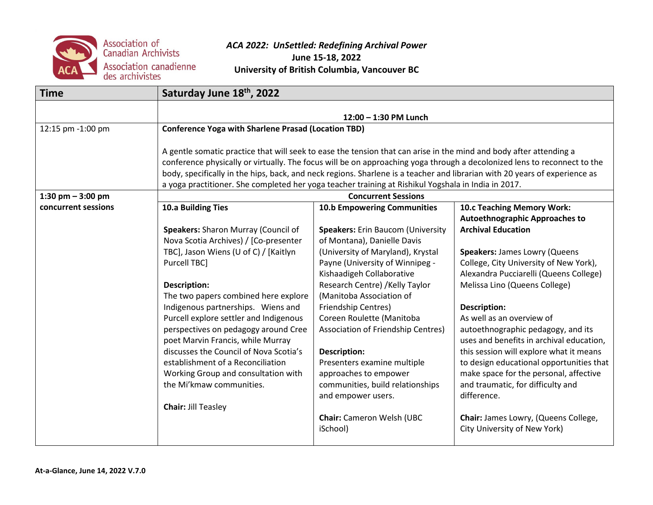

| <b>Time</b>         | Saturday June 18th, 2022                                                                                                                                                                                                                                                                                                                                                                                                                                                            |                                                                                                                                       |                                                                                                                                                                                   |  |  |
|---------------------|-------------------------------------------------------------------------------------------------------------------------------------------------------------------------------------------------------------------------------------------------------------------------------------------------------------------------------------------------------------------------------------------------------------------------------------------------------------------------------------|---------------------------------------------------------------------------------------------------------------------------------------|-----------------------------------------------------------------------------------------------------------------------------------------------------------------------------------|--|--|
|                     | 12:00 - 1:30 PM Lunch                                                                                                                                                                                                                                                                                                                                                                                                                                                               |                                                                                                                                       |                                                                                                                                                                                   |  |  |
| 12:15 pm -1:00 pm   | <b>Conference Yoga with Sharlene Prasad (Location TBD)</b>                                                                                                                                                                                                                                                                                                                                                                                                                          |                                                                                                                                       |                                                                                                                                                                                   |  |  |
|                     | A gentle somatic practice that will seek to ease the tension that can arise in the mind and body after attending a<br>conference physically or virtually. The focus will be on approaching yoga through a decolonized lens to reconnect to the<br>body, specifically in the hips, back, and neck regions. Sharlene is a teacher and librarian with 20 years of experience as<br>a yoga practitioner. She completed her yoga teacher training at Rishikul Yogshala in India in 2017. |                                                                                                                                       |                                                                                                                                                                                   |  |  |
| 1:30 pm $-$ 3:00 pm |                                                                                                                                                                                                                                                                                                                                                                                                                                                                                     | <b>Concurrent Sessions</b>                                                                                                            |                                                                                                                                                                                   |  |  |
| concurrent sessions | 10.a Building Ties                                                                                                                                                                                                                                                                                                                                                                                                                                                                  | <b>10.b Empowering Communities</b>                                                                                                    | 10.c Teaching Memory Work:<br><b>Autoethnographic Approaches to</b>                                                                                                               |  |  |
|                     | Speakers: Sharon Murray (Council of<br>Nova Scotia Archives) / [Co-presenter                                                                                                                                                                                                                                                                                                                                                                                                        | Speakers: Erin Baucom (University<br>of Montana), Danielle Davis                                                                      | <b>Archival Education</b>                                                                                                                                                         |  |  |
|                     | TBC], Jason Wiens (U of C) / [Kaitlyn<br>Purcell TBC]                                                                                                                                                                                                                                                                                                                                                                                                                               | (University of Maryland), Krystal<br>Payne (University of Winnipeg -<br>Kishaadigeh Collaborative                                     | <b>Speakers: James Lowry (Queens</b><br>College, City University of New York),<br>Alexandra Pucciarelli (Queens College)                                                          |  |  |
|                     | <b>Description:</b><br>The two papers combined here explore                                                                                                                                                                                                                                                                                                                                                                                                                         | Research Centre) / Kelly Taylor<br>(Manitoba Association of                                                                           | Melissa Lino (Queens College)                                                                                                                                                     |  |  |
|                     | Indigenous partnerships. Wiens and<br>Purcell explore settler and Indigenous<br>perspectives on pedagogy around Cree<br>poet Marvin Francis, while Murray                                                                                                                                                                                                                                                                                                                           | Friendship Centres)<br>Coreen Roulette (Manitoba<br>Association of Friendship Centres)                                                | <b>Description:</b><br>As well as an overview of<br>autoethnographic pedagogy, and its<br>uses and benefits in archival education,                                                |  |  |
|                     | discusses the Council of Nova Scotia's<br>establishment of a Reconciliation<br>Working Group and consultation with<br>the Mi'kmaw communities.                                                                                                                                                                                                                                                                                                                                      | <b>Description:</b><br>Presenters examine multiple<br>approaches to empower<br>communities, build relationships<br>and empower users. | this session will explore what it means<br>to design educational opportunities that<br>make space for the personal, affective<br>and traumatic, for difficulty and<br>difference. |  |  |
|                     | <b>Chair: Jill Teasley</b>                                                                                                                                                                                                                                                                                                                                                                                                                                                          | <b>Chair:</b> Cameron Welsh (UBC<br>iSchool)                                                                                          | Chair: James Lowry, (Queens College,<br>City University of New York)                                                                                                              |  |  |